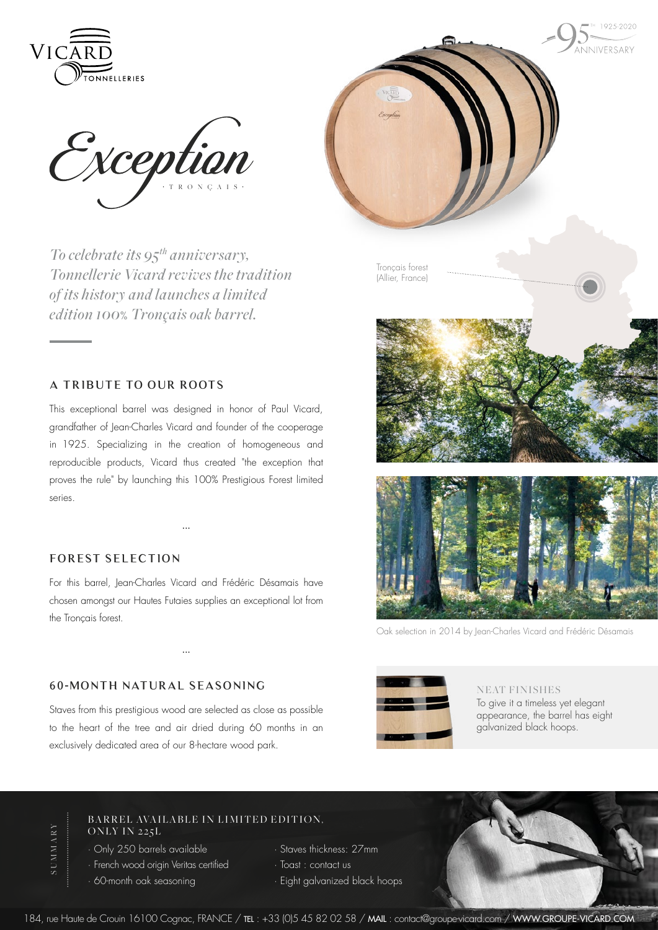

1025-2020 .<br>MNIVERSARY

Exception

*To celebrate its 95th anniversary, Tonnellerie Vicard revives the tradition of its history and launches a limited edition 100*% *Tronçais oak barrel.*

## **a tribute to our roots**

This exceptional barrel was designed in honor of Paul Vicard, grandfather of Jean-Charles Vicard and founder of the cooperage in 1925. Specializing in the creation of homogeneous and reproducible products, Vicard thus created "the exception that proves the rule" by launching this 100% Prestigious Forest limited series.

## **FOREST SELECTION**

For this barrel, Jean-Charles Vicard and Frédéric Désamais have chosen amongst our Hautes Futaies supplies an exceptional lot from the Tronçais forest.

···

···

## **60-MO NTH NATURAL S EASO NING**

Staves from this prestigious wood are selected as close as possible to the heart of the tree and air dried during 60 months in an exclusively dedicated area of our 8-hectare wood park.



Oak selection in 2014 by Jean-Charles Vicard and Frédéric Désamais



NEAT FINISHES

To give it a timeless yet elegant appearance, the barrel has eight galvanized black hoops.

**SUMMARY** SUMMARY

BARREL AVAILABLE IN LIMITED EDITION. ONLY IN 225L

· Only 250 barrels available · French wood origin Veritas certified · 60-month oak seasoning

- · Staves thickness: 27mm · Toast : contact us
- · Eight galvanized black hoops

184, rue Haute de Crouin 16100 Cognac, FRANCE / TEL : +33 (0)5 45 82 02 58 / MAIL : contact@groupe-vicard.com / WWW.GROUPE-VICARD.COM